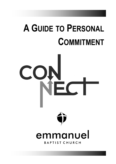## **A GUIDE TO PERSONAL COMMITMENT**

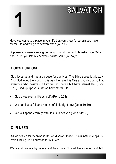# **SALVATION 1**

Have you come to a place in your life that you know for certain you have eternal life and will go to heaven when you die?

Suppose you were standing before God right now and He asked you, Why should I let you into my heaven? "What would you say?

#### **GOD'S PURPOSE**

God loves us and has a purpose for our lives. The Bible states it this way: "For God loved the world in this way: He gave His One and Only Son so that everyone who believes in Him will not perish but have eternal life" (John 3:16). God's purpose is that we have eternal life.

- God gives eternal life as a gift (Rom. 6:23).
- We can live a full and meaningful life right now (John 10:10).
- We will spend eternity with Jesus in heaven (John 14:1-3).

#### **OUR NEED**

As we search for meaning in life, we discover that our sinful nature keeps us from fulfilling God's purpose for our lives.

We are all sinners by nature and by choice. "For all have sinned and fall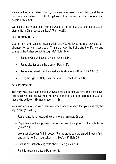We cannot save ourselves. "For by grace you are saved through faith, and this is not from yourselves; it is God's gift—not from works, so that no one can boast" (Eph. 2:8-9).

We deserve death and hell. "For the wages of sin is death, but the gift of God is eternal life in Christ Jesus our Lord" (Rom. 6:23).

#### **GOD'S PROVISION**

God is holy and just and must punish sin. Yet He loves us and provides forgiveness for our sin. Jesus said, "'I am the way, the truth, and the life. No one comes to the Father except through Me" (John 14:6).

- Jesus is God and became man (John 1:1,14).
- Jesus died for us on the cross (1 Pet. 3:18).
- Jesus was raised from the dead and is alive today (Rom. 4:25; 6:9-10).
- God, through His Holy Spirit, calls us to Himself (John 6:44).

#### **OUR RESPONSE**

The only way Jesus can affect our lives is for us to receive Him. The Bible says, "But to all who did receive Him, He gave them the right to be children of God, to those who believe in His name" (John 1:12).

We must repent of our sin. "Therefore repent and turn back, that your sins may be wiped out" (Acts 3:19).

- Repentance is not just feeling sorry for our sin (Acts 26:20).
- Repentance is turning away from our sin and turning to God through Jesus (Acts 26:20).
- We must place our faith in Jesus. "For by grace you are saved through faith, and this is not from yourselves; it is God's gift" (Eph. 2:8).
- Faith is not just believing facts about Jesus (Jas. 2:19).
- Faith is trusting in Jesus (Rom. 10:11).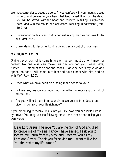- We must surrender to Jesus as Lord. "If you confess with your mouth, 'Jesus is Lord, and believe in your heart that God raised Him from the dead, you will be saved. With the heart one believes, resulting in righteousness, and with the mouth one confesses, resulting in salvation" (Rom. 10:9-10).
- Surrendering to Jesus as Lord is not just saying we give our lives to Jesus (Matt. 7:21).
- Surrendering to Jesus as Lord is giving Jesus control of our lives.

#### **MY COMMITMENT**

Giving Jesus control is something each person must do for himself or herself. No one else can make this decision for you. Jesus says, "Listen! I stand at the door and knock. If anyone hears My voice and opens the door, I will come in to him and have dinner with him, and he with Me" (Rev. 3:20).

- Does what we have been discussing make sense to you?
- Is there any reason you would not be willing to receive God's gift of eternal life?
- Are you willing to turn from your sin, place your faith in Jesus, and give Him control of your life right now?

If you are willing to receive Jesus into your life now, you can invite Him in by prayer. You may use the following prayer or a similar one using your own words:

Dear Lord Jesus, I believe You are the Son of God and died to forgive me of my sins. I know I have sinned. I ask You to forgive me. I turn from my sins, and I receive You as my Lord and Savior. Thank you for saving me. I want to live for You the rest of my life. Amen."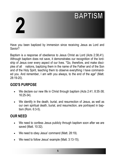## **BAPTISM 2**

Have you been baptized by immersion since receiving Jesus as Lord and Savior?

Baptism is a response of obedience to Jesus Christ as Lord (Acts 2:38,41). Although baptism does not save, it demonstrates our recognition of the lordship of Jesus over every aspect of our lives. "Go, therefore, and make disciples of all nations, baptizing them in the name of the Father and of the Son and of the Holy Spirit, teaching them to observe everything I have commanded you. And remember, I am with you always, to the end of the age" (Matt. 28:19-20).

#### **GOD'S PURPOSE**

- We declare our new life in Christ through baptism (Acts 2:41; 8:35-38; 16:25-34).
- We identify in the death, burial, and resurrection of Jesus, as well as our own spiritual death, burial, and resurrection, are portrayed in baptism (Rom. 6:3-5).

- We need to confess Jesus publicly through baptism soon after we are saved (Matt. 10:32).
- We need to obey Jesus' command (Matt. 28:19).
- We need to follow Jesus' example (Matt. 3:13-15).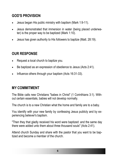- Jesus began His public ministry with baptism (Mark 1:9-11).
- Jesus demonstrated that immersion in water (being placed underwater) is the proper way to be baptized (Mark 1:10).
- Jesus has given authority to His followers to baptize (Matt. 28:19).

#### **OUR RESPONSE**

- Request a local church to baptize you.
- Be baptized as an expression of obedience to Jesus (Acts 2:41).
- Influence others through your baptism (Acts 16:31-33).

#### **MY COMMITMENT**

The Bible calls new Christians "babes in Christ" (1 Corinthians 3:1). Without certain essentials, babies will not develop normally.

The church is to a new Christian what the home and family are to a baby.

You identify with your new family by confessing Jesus publicly and by experiencing believer's baptism.

"Then they that gladly received his word were baptized: and the same day there were added unto them about three thousand souls" (Acts 2:41).

Attend church Sunday and share with the pastor that you want to be baptized and become a member of the church.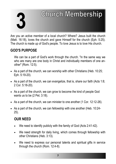# **3**

### **Church Membership**

Are you an active member of a local church? Where? Jesus built the church (Matt. 16:18), loves the church and gave Himself for the church (Eph. 5:25). The church is made up of God's people. To love Jesus is to love His church.

#### **GOD'S PURPOSE**

We can be a part of God's work through the church. "in the same way we who are many are one body in Christ and individually members of one another" (Rom. 12:5).

- As a part of the church, we can worship with other Christians (Heb. 10:25; Eph. 5:19-20).
- As a part of the church, we can evangelize, that is, share our faith (Acts 1:8; 2 Cor. 5:18-20).
- As a part of the church, we can grow to become the kind of people God wants us to be (2 Pet. 3:18).
- As a part of the church, we can minister to one another (1 Cor. 12:12-26).
- As a part of the church, we can fellowship with one another (Heb. 10:24- 25).

- We need to identify publicly with the family of God (Acts 2:41-42).
- We need strength for daily living, which comes through fellowship with other Christians (Heb. 3:13).
- We need to express our personal talents and spiritual gifts in service through the church (Rom. 12:4-8).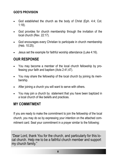- God established the church as the body of Christ (Eph. 4:4; Cot. 1:18).
- God provides for church membership through the invitation of the local church (Rev. 22:17).
- God encourages every Christian to participate in church membership (Heb. 10:25).
- Jesus set the example for faithful worship attendance (Luke 4:16).

#### **OUR RESPONSE**

- You may become a member of the local church fellowship by professing your faith and baptism (Acts 2:41,47).
- You may share the fellowship of the local church by joining its membership.
- After joining a church you will want to serve with others.
- You may join a church by statement that you have been baptized in a local church of like beliefs and practices.

#### **MY COMMITMENT**

If you are ready to make the commitment to join the fellowship of the local church, you may do so by expressing your intention on the attached commitment card. Seal your commitment in a prayer similar to the following:

"Dear Lord, thank You for the church, and particularly for this local church. Help me to be a faithful church member and support my church family."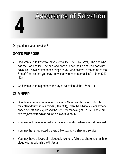## **Assurance of Salvation 4**

Do you doubt your salvation?

#### **GOD'S PURPOSE**

- God wants us to know we have eternal life. The Bible says, "The one who has the Son has life. The one who doesn't have the Son of God does not have life. I have written these things to you who believe in the name of the Son of God, so that you may know that you have eternal life" (1 John 5:12 -13).
- God wants us to experience the joy of salvation (John 15:10-11).

- Doubts are not uncommon to Christians. Satan wants us to doubt. He may plant doubts in our minds (Gen. 3:1), Even the biblical writers experienced doubts and expressed the need for renewal (Ps. 51:12). There are five major factors which cause believers to doubt:
- You may not have received adequate explanation when you first believed.
- You may have neglected prayer, Bible study, worship and service.
- You may have allowed sin, disobedience, or a failure to share your faith to cloud your relationship with Jesus.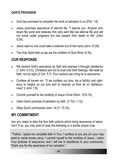- God has promised to complete His work of salvation in us (Phil. 1:6).
- Jesus promises assurance of eternal life: "I assure you: Anyone who hears My word and believes Him who sent Me has eternal life and will not come under judgment but has passed from death to life" (John 5:24).
- Jesus said no one could take a believer out of His hand (John 10:28).
- The Holy Spirit tells us we are the children of God (Rom. 8:16).

#### **OUR RESPONSE**

- We receive God's assurance by faith and express it through obedience (1 John 2:3-5). Christians are not to trust only their feelings. We walk by faith, not by sight (2 Cor. 5:7). Four actions can bring us to assurance:
- Confess all known sin. "If we confess our sins, He is faithful and righteous to forgive us our sins and to cleanse us from all un righteousness" (l John 1:9).
- Commit yourself to the lordship of Jesus Christ (Rom. 10:9-10).
- Claim God's promise of salvation by faith. (2 Tim. 1:12).
- Obey God's commands (John 14:21; 15:10).

#### **MY COMMITMENT**

Are you ready to take the four faith actions which bring assurance of salvation? If so, you may want to pray the following or a similar prayer now:

""Father, I place my complete faith in You: I confess to you any sin (you may want to name known sins); I commit myself to the lordship of Jesus. I claim Your promise of assurance; and I will live in obedience to your commands. Thank you for the assurance of my salvation."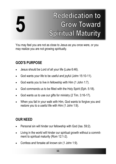# **5**

### **Rededication to Grow Toward Spiritual Maturity**

You may feel you are not as close to Jesus as you once were, or you may realize you are not growing spiritually.

#### **GOD'S PURPOSE**

- Jesus should be Lord of all your life (Luke 6:46).
- God wants your life to be useful and joyful (John 15:10-11).
- God wants you to live in fellowship with Him (1 John 1:7).
- God commands us to be filled with the Holy Spirit (Eph. 5:18).
- God wants us to use our gifts for ministry (2 Tim. 3:16-17).
- When you fail in your walk with Him, God wants to forgive you and restore you to a useful life with Him (1 John 1:9).

- Personal sin will hinder our fellowship with God (Isa. 59:2).
- Living in the world will hinder our spiritual growth without a commitment to spiritual maturity (Rom 12:1-2).
- Confess and forsake all known sin (1 John 1:9).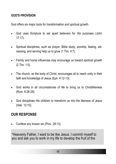God offers six major tools for transformation and spiritual growth.

- God uses Scripture to set apart believers for His purposes (John 17:17).
- Spiritual disciplines, such as prayer, Bible study, worship, fasting, witnessing, and serving help us to grow (1 Tim. 4:7).
- Family and home influences may encourage us toward spiritual growth (2 Tim. 1:5).
- The church, as the body of Christ, encourages all to reach unity in their faith and knowledge of Jesus (Eph. 4:12-13).
- God works in all circumstances of life to bring us to Christlikeness (Rom. 8:28-29).
- God disciplines His children to transform us into the likeness of Jesus (Heb. 12:10).

#### **OUR RESPONSE**

• Confess any known sin (Prov. 28:13).

"Heavenly Father, I want to be like Jesus. I commit myself to you and ask you to work in my life to develop the fruit of the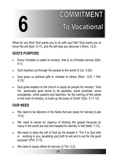# **6**

### **COMMITMENT To Vocational**

What do you think God wants you to do with your life? God wants you to know His will (Eph. 5:17), and He will help you discover it (Rom. 12:2).

#### **GOD'S PURPOSE**

- Every Christian is called to ministry, that is, to Christian service (Eph. 4:1).
- God reaches out through His people to the world (2 Cor. 5:20).
- God gives us spiritual gifts to minister to others (Rom. 12:6, 1 Pet. 4:10).
- God gives leaders to the church to equip its people for ministry: "And He personally gave some to be apostles, some prophets, some evangelists, some pastors and teachers, for the training of the saints in the work of ministry, to build up the body of Christ" (Eph. 4:11-12).

- We need to be laborers in the fields that are ready for harvest (Luke 10:2).
- We need to sense an urgency of sharing the gospel because so many in the world are lost and headed for eternity in hell (Matt. 7:13).
- We need to obey the will of God as He reveals it. "For it is God who is working in you, [enabling you] both to will and to act for His good purpose" (Phil. 2:13).
- We need to equip others for service (2 Tim. 2:2).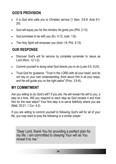- It is God who calls you to Christian service (1 Sam. 3:8-9; Acts 9:1- 20).
- God will equip you for the ministry He gives you (Phil. 2:13).
- God promises to be with you (Ex. 4:12; Josh. 1:9).
- The Holy Spirit will empower you (Acts 1:8; Phil. 4:13).

#### **OUR RESPONSE**

- Discover God's will for service by complete surrender to Jesus as Lord (Rom. 12:1-2).
- Commit yourself to doing what God directs you to do (Luke 5:5; 9:23).
- Trust God for quidance. "Trust in the LORD with all your heart, and do not rely on your own understanding; think about Him in all your ways, and He will guide you on the right paths" (Prov. 3:5-6).

#### **MY COMMITMENT**

Are you willing to do God's will? If you are, He will reveal His will to you, a step at a time. Will you respond to each step as God reveals it and trust Him for the next steps? Your first step is to serve faithfully where you are (Matt. 25:21; 1 Cor. 4:2).

If you are willing to commit yourself to following God's will for all of your life, you may want to pray the following or a similar prayer:

"Dear Lord, thank You for providing a perfect plan for my life. I am committed to obeying Your will as You reveal it to me."